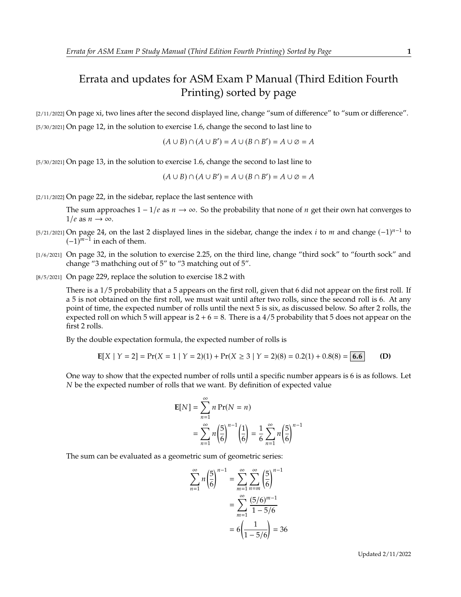## Errata and updates for ASM Exam P Manual (Third Edition Fourth Printing) sorted by page

[2/11/2022] On page xi, two lines after the second displayed line, change "sum of difference" to "sum or difference". [5/30/2021] On page 12, in the solution to exercise 1.6, change the second to last line to

$$
(A \cup B) \cap (A \cup B') = A \cup (B \cap B') = A \cup \emptyset = A
$$

[5/30/2021] On page 13, in the solution to exercise 1.6, change the second to last line to

$$
(A \cup B) \cap (A \cup B') = A \cup (B \cap B') = A \cup \emptyset = A
$$

[2/11/2022] On page 22, in the sidebar, replace the last sentence with

The sum approaches  $1 - 1/e$  as  $n \to \infty$ . So the probability that none of *n* get their own hat converges to  $1/e$  as  $n \to \infty$ .

- [5/21/2021] On page 24, on the last 2 displayed lines in the sidebar, change the index *i* to *m* and change  $(-1)^{n-1}$  to  $(-1)^{n-1}$  in each of them  $(-1)^{m-1}$  in each of them.
- [1/6/2021] On page 32, in the solution to exercise 2.25, on the third line, change "third sock" to "fourth sock" and change "3 mathching out of 5" to "3 matching out of 5".
- [8/5/2021] On page 229, replace the solution to exercise 18.2 with

There is a 1/5 probability that a 5 appears on the first roll, given that 6 did not appear on the first roll. If a 5 is not obtained on the first roll, we must wait until after two rolls, since the second roll is 6. At any point of time, the expected number of rolls until the next 5 is six, as discussed below. So after 2 rolls, the expected roll on which 5 will appear is  $2 + 6 = 8$ . There is a 4/5 probability that 5 does not appear on the first 2 rolls.

By the double expectation formula, the expected number of rolls is

$$
E[X \mid Y = 2] = Pr(X = 1 \mid Y = 2)(1) + Pr(X \ge 3 \mid Y = 2)(8) = 0.2(1) + 0.8(8) = 6.6
$$
 (D)

One way to show that the expected number of rolls until a specific number appears is 6 is as follows. Let  $N$  be the expected number of rolls that we want. By definition of expected value

$$
E[N] = \sum_{n=1}^{\infty} n Pr(N = n)
$$
  
= 
$$
\sum_{n=1}^{\infty} n \left(\frac{5}{6}\right)^{n-1} \left(\frac{1}{6}\right) = \frac{1}{6} \sum_{n=1}^{\infty} n \left(\frac{5}{6}\right)^{n-1}
$$

The sum can be evaluated as a geometric sum of geometric series:

$$
\sum_{n=1}^{\infty} n \left(\frac{5}{6}\right)^{n-1} = \sum_{m=1}^{\infty} \sum_{n=m}^{\infty} \left(\frac{5}{6}\right)^{n-1}
$$

$$
= \sum_{m=1}^{\infty} \frac{(5/6)^{m-1}}{1-5/6}
$$

$$
= 6\left(\frac{1}{1-5/6}\right) = 36
$$

Updated 2/11/2022